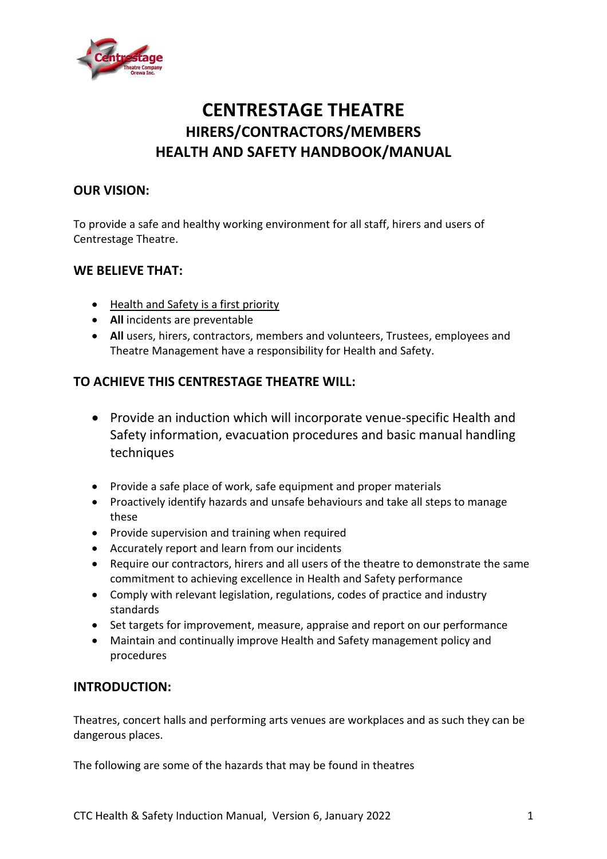

# **CENTRESTAGE THEATRE HIRERS/CONTRACTORS/MEMBERS HEALTH AND SAFETY HANDBOOK/MANUAL**

# **OUR VISION:**

To provide a safe and healthy working environment for all staff, hirers and users of Centrestage Theatre.

#### **WE BELIEVE THAT:**

- Health and Safety is a first priority
- **All** incidents are preventable
- **All** users, hirers, contractors, members and volunteers, Trustees, employees and Theatre Management have a responsibility for Health and Safety.

### **TO ACHIEVE THIS CENTRESTAGE THEATRE WILL:**

- Provide an induction which will incorporate venue-specific Health and Safety information, evacuation procedures and basic manual handling techniques
- Provide a safe place of work, safe equipment and proper materials
- Proactively identify hazards and unsafe behaviours and take all steps to manage these
- Provide supervision and training when required
- Accurately report and learn from our incidents
- Require our contractors, hirers and all users of the theatre to demonstrate the same commitment to achieving excellence in Health and Safety performance
- Comply with relevant legislation, regulations, codes of practice and industry standards
- Set targets for improvement, measure, appraise and report on our performance
- Maintain and continually improve Health and Safety management policy and procedures

#### **INTRODUCTION:**

Theatres, concert halls and performing arts venues are workplaces and as such they can be dangerous places.

The following are some of the hazards that may be found in theatres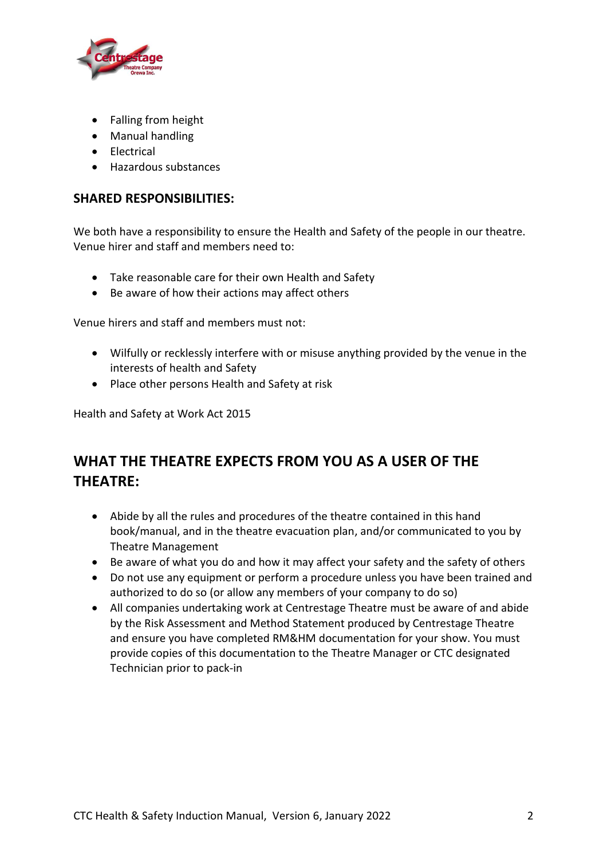

- Falling from height
- Manual handling
- Electrical
- Hazardous substances

### **SHARED RESPONSIBILITIES:**

We both have a responsibility to ensure the Health and Safety of the people in our theatre. Venue hirer and staff and members need to:

- Take reasonable care for their own Health and Safety
- Be aware of how their actions may affect others

Venue hirers and staff and members must not:

- Wilfully or recklessly interfere with or misuse anything provided by the venue in the interests of health and Safety
- Place other persons Health and Safety at risk

Health and Safety at Work Act 2015

# **WHAT THE THEATRE EXPECTS FROM YOU AS A USER OF THE THEATRE:**

- Abide by all the rules and procedures of the theatre contained in this hand book/manual, and in the theatre evacuation plan, and/or communicated to you by Theatre Management
- Be aware of what you do and how it may affect your safety and the safety of others
- Do not use any equipment or perform a procedure unless you have been trained and authorized to do so (or allow any members of your company to do so)
- All companies undertaking work at Centrestage Theatre must be aware of and abide by the Risk Assessment and Method Statement produced by Centrestage Theatre and ensure you have completed RM&HM documentation for your show. You must provide copies of this documentation to the Theatre Manager or CTC designated Technician prior to pack-in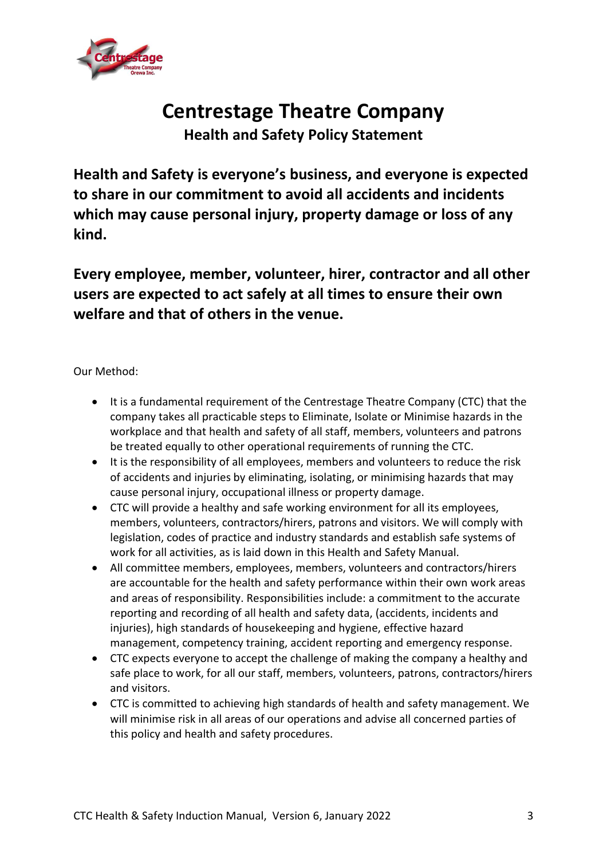

# **Centrestage Theatre Company**

**Health and Safety Policy Statement**

**Health and Safety is everyone's business, and everyone is expected to share in our commitment to avoid all accidents and incidents which may cause personal injury, property damage or loss of any kind.**

**Every employee, member, volunteer, hirer, contractor and all other users are expected to act safely at all times to ensure their own welfare and that of others in the venue.**

Our Method:

- It is a fundamental requirement of the Centrestage Theatre Company (CTC) that the company takes all practicable steps to Eliminate, Isolate or Minimise hazards in the workplace and that health and safety of all staff, members, volunteers and patrons be treated equally to other operational requirements of running the CTC.
- It is the responsibility of all employees, members and volunteers to reduce the risk of accidents and injuries by eliminating, isolating, or minimising hazards that may cause personal injury, occupational illness or property damage.
- CTC will provide a healthy and safe working environment for all its employees, members, volunteers, contractors/hirers, patrons and visitors. We will comply with legislation, codes of practice and industry standards and establish safe systems of work for all activities, as is laid down in this Health and Safety Manual.
- All committee members, employees, members, volunteers and contractors/hirers are accountable for the health and safety performance within their own work areas and areas of responsibility. Responsibilities include: a commitment to the accurate reporting and recording of all health and safety data, (accidents, incidents and injuries), high standards of housekeeping and hygiene, effective hazard management, competency training, accident reporting and emergency response.
- CTC expects everyone to accept the challenge of making the company a healthy and safe place to work, for all our staff, members, volunteers, patrons, contractors/hirers and visitors.
- CTC is committed to achieving high standards of health and safety management. We will minimise risk in all areas of our operations and advise all concerned parties of this policy and health and safety procedures.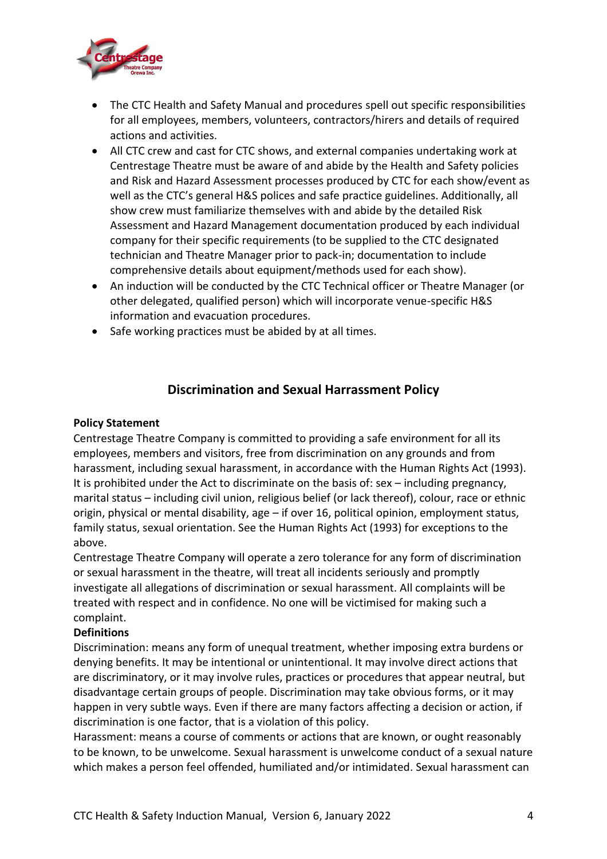

- The CTC Health and Safety Manual and procedures spell out specific responsibilities for all employees, members, volunteers, contractors/hirers and details of required actions and activities.
- All CTC crew and cast for CTC shows, and external companies undertaking work at Centrestage Theatre must be aware of and abide by the Health and Safety policies and Risk and Hazard Assessment processes produced by CTC for each show/event as well as the CTC's general H&S polices and safe practice guidelines. Additionally, all show crew must familiarize themselves with and abide by the detailed Risk Assessment and Hazard Management documentation produced by each individual company for their specific requirements (to be supplied to the CTC designated technician and Theatre Manager prior to pack-in; documentation to include comprehensive details about equipment/methods used for each show).
- An induction will be conducted by the CTC Technical officer or Theatre Manager (or other delegated, qualified person) which will incorporate venue-specific H&S information and evacuation procedures.
- Safe working practices must be abided by at all times.

#### **Discrimination and Sexual Harrassment Policy**

#### **Policy Statement**

Centrestage Theatre Company is committed to providing a safe environment for all its employees, members and visitors, free from discrimination on any grounds and from harassment, including sexual harassment, in accordance with the Human Rights Act (1993). It is prohibited under the Act to discriminate on the basis of: sex – including pregnancy, marital status – including civil union, religious belief (or lack thereof), colour, race or ethnic origin, physical or mental disability, age – if over 16, political opinion, employment status, family status, sexual orientation. See the Human Rights Act (1993) for exceptions to the above.

Centrestage Theatre Company will operate a zero tolerance for any form of discrimination or sexual harassment in the theatre, will treat all incidents seriously and promptly investigate all allegations of discrimination or sexual harassment. All complaints will be treated with respect and in confidence. No one will be victimised for making such a complaint.

#### **Definitions**

Discrimination: means any form of unequal treatment, whether imposing extra burdens or denying benefits. It may be intentional or unintentional. It may involve direct actions that are discriminatory, or it may involve rules, practices or procedures that appear neutral, but disadvantage certain groups of people. Discrimination may take obvious forms, or it may happen in very subtle ways. Even if there are many factors affecting a decision or action, if discrimination is one factor, that is a violation of this policy.

Harassment: means a course of comments or actions that are known, or ought reasonably to be known, to be unwelcome. Sexual harassment is unwelcome conduct of a sexual nature which makes a person feel offended, humiliated and/or intimidated. Sexual harassment can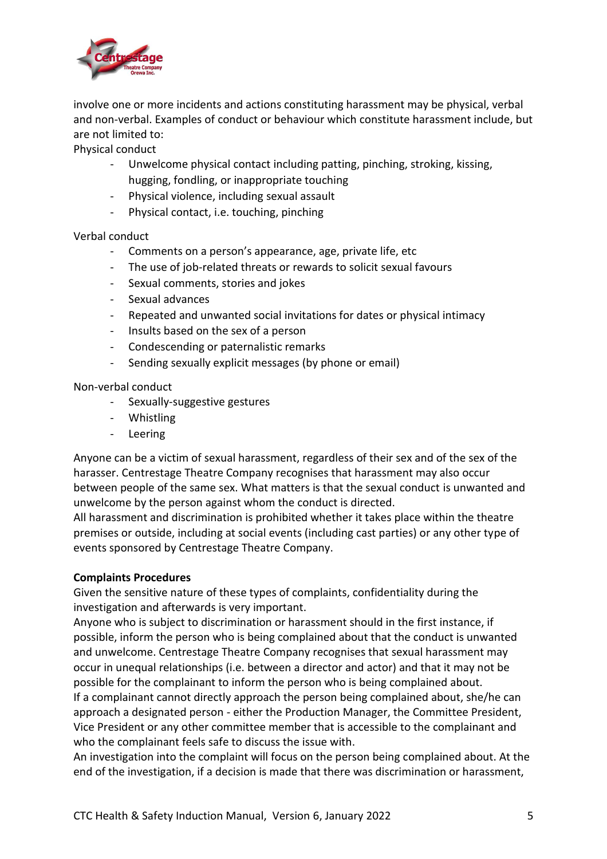

involve one or more incidents and actions constituting harassment may be physical, verbal and non-verbal. Examples of conduct or behaviour which constitute harassment include, but are not limited to:

Physical conduct

- Unwelcome physical contact including patting, pinching, stroking, kissing, hugging, fondling, or inappropriate touching
- Physical violence, including sexual assault
- Physical contact, i.e. touching, pinching

Verbal conduct

- Comments on a person's appearance, age, private life, etc
- The use of job-related threats or rewards to solicit sexual favours
- Sexual comments, stories and jokes
- Sexual advances
- Repeated and unwanted social invitations for dates or physical intimacy
- Insults based on the sex of a person
- Condescending or paternalistic remarks
- Sending sexually explicit messages (by phone or email)

Non-verbal conduct

- Sexually-suggestive gestures
- Whistling
- Leering

Anyone can be a victim of sexual harassment, regardless of their sex and of the sex of the harasser. Centrestage Theatre Company recognises that harassment may also occur between people of the same sex. What matters is that the sexual conduct is unwanted and unwelcome by the person against whom the conduct is directed.

All harassment and discrimination is prohibited whether it takes place within the theatre premises or outside, including at social events (including cast parties) or any other type of events sponsored by Centrestage Theatre Company.

#### **Complaints Procedures**

Given the sensitive nature of these types of complaints, confidentiality during the investigation and afterwards is very important.

Anyone who is subject to discrimination or harassment should in the first instance, if possible, inform the person who is being complained about that the conduct is unwanted and unwelcome. Centrestage Theatre Company recognises that sexual harassment may occur in unequal relationships (i.e. between a director and actor) and that it may not be possible for the complainant to inform the person who is being complained about. If a complainant cannot directly approach the person being complained about, she/he can approach a designated person - either the Production Manager, the Committee President, Vice President or any other committee member that is accessible to the complainant and who the complainant feels safe to discuss the issue with.

An investigation into the complaint will focus on the person being complained about. At the end of the investigation, if a decision is made that there was discrimination or harassment,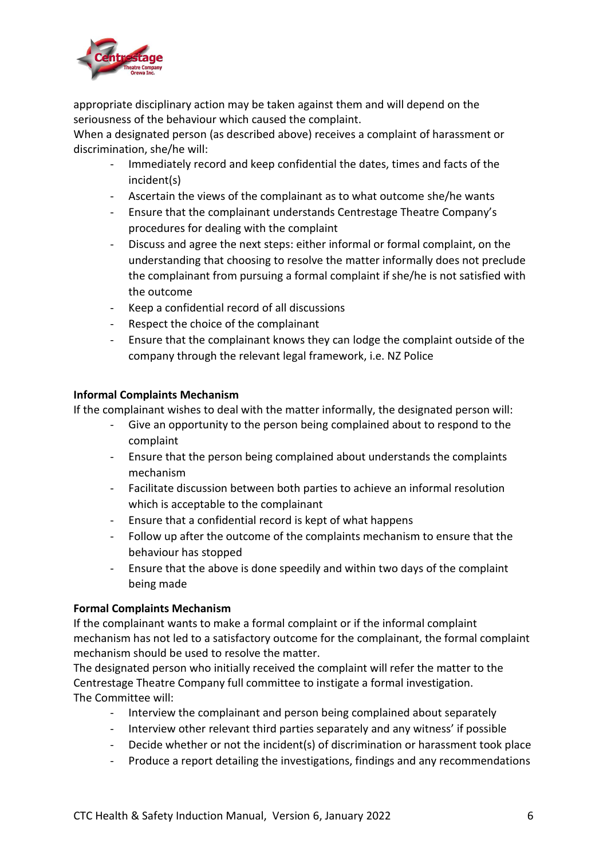

appropriate disciplinary action may be taken against them and will depend on the seriousness of the behaviour which caused the complaint.

When a designated person (as described above) receives a complaint of harassment or discrimination, she/he will:

- Immediately record and keep confidential the dates, times and facts of the incident(s)
- Ascertain the views of the complainant as to what outcome she/he wants
- Ensure that the complainant understands Centrestage Theatre Company's procedures for dealing with the complaint
- Discuss and agree the next steps: either informal or formal complaint, on the understanding that choosing to resolve the matter informally does not preclude the complainant from pursuing a formal complaint if she/he is not satisfied with the outcome
- Keep a confidential record of all discussions
- Respect the choice of the complainant
- Ensure that the complainant knows they can lodge the complaint outside of the company through the relevant legal framework, i.e. NZ Police

#### **Informal Complaints Mechanism**

If the complainant wishes to deal with the matter informally, the designated person will:

- Give an opportunity to the person being complained about to respond to the complaint
- Ensure that the person being complained about understands the complaints mechanism
- Facilitate discussion between both parties to achieve an informal resolution which is acceptable to the complainant
- Ensure that a confidential record is kept of what happens
- Follow up after the outcome of the complaints mechanism to ensure that the behaviour has stopped
- Ensure that the above is done speedily and within two days of the complaint being made

#### **Formal Complaints Mechanism**

If the complainant wants to make a formal complaint or if the informal complaint mechanism has not led to a satisfactory outcome for the complainant, the formal complaint mechanism should be used to resolve the matter.

The designated person who initially received the complaint will refer the matter to the Centrestage Theatre Company full committee to instigate a formal investigation. The Committee will:

- Interview the complainant and person being complained about separately
- Interview other relevant third parties separately and any witness' if possible
- Decide whether or not the incident(s) of discrimination or harassment took place
- Produce a report detailing the investigations, findings and any recommendations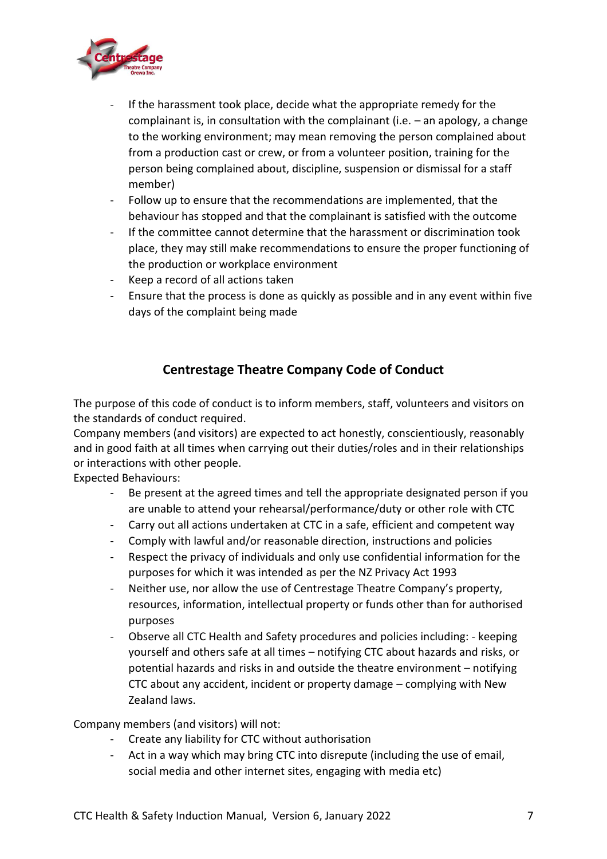

- If the harassment took place, decide what the appropriate remedy for the complainant is, in consultation with the complainant (i.e. – an apology, a change to the working environment; may mean removing the person complained about from a production cast or crew, or from a volunteer position, training for the person being complained about, discipline, suspension or dismissal for a staff member)
- Follow up to ensure that the recommendations are implemented, that the behaviour has stopped and that the complainant is satisfied with the outcome
- If the committee cannot determine that the harassment or discrimination took place, they may still make recommendations to ensure the proper functioning of the production or workplace environment
- Keep a record of all actions taken
- Ensure that the process is done as quickly as possible and in any event within five days of the complaint being made

# **Centrestage Theatre Company Code of Conduct**

The purpose of this code of conduct is to inform members, staff, volunteers and visitors on the standards of conduct required.

Company members (and visitors) are expected to act honestly, conscientiously, reasonably and in good faith at all times when carrying out their duties/roles and in their relationships or interactions with other people.

Expected Behaviours:

- Be present at the agreed times and tell the appropriate designated person if you are unable to attend your rehearsal/performance/duty or other role with CTC
- Carry out all actions undertaken at CTC in a safe, efficient and competent way
- Comply with lawful and/or reasonable direction, instructions and policies
- Respect the privacy of individuals and only use confidential information for the purposes for which it was intended as per the NZ Privacy Act 1993
- Neither use, nor allow the use of Centrestage Theatre Company's property, resources, information, intellectual property or funds other than for authorised purposes
- Observe all CTC Health and Safety procedures and policies including: keeping yourself and others safe at all times – notifying CTC about hazards and risks, or potential hazards and risks in and outside the theatre environment – notifying CTC about any accident, incident or property damage – complying with New Zealand laws.

Company members (and visitors) will not:

- Create any liability for CTC without authorisation
- Act in a way which may bring CTC into disrepute (including the use of email, social media and other internet sites, engaging with media etc)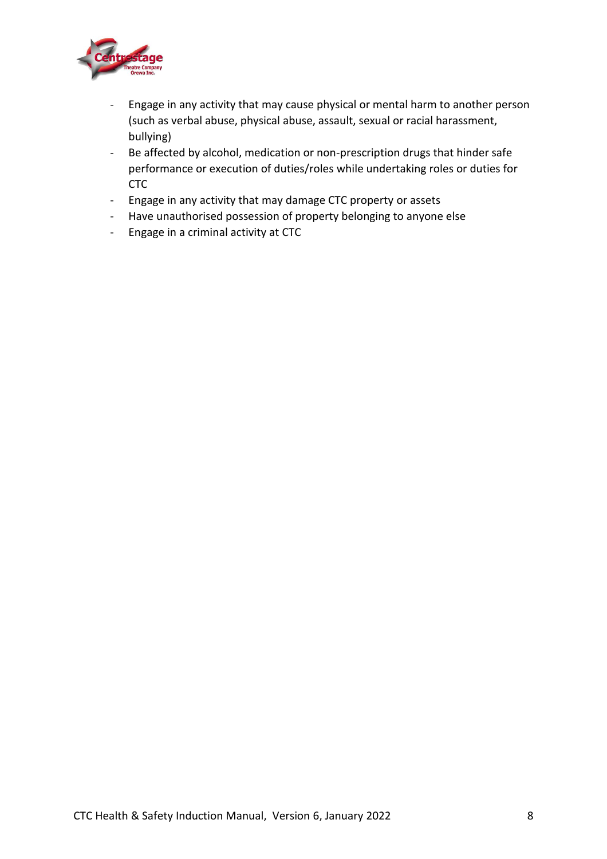

- Engage in any activity that may cause physical or mental harm to another person (such as verbal abuse, physical abuse, assault, sexual or racial harassment, bullying)
- Be affected by alcohol, medication or non-prescription drugs that hinder safe performance or execution of duties/roles while undertaking roles or duties for CTC
- Engage in any activity that may damage CTC property or assets
- Have unauthorised possession of property belonging to anyone else
- Engage in a criminal activity at CTC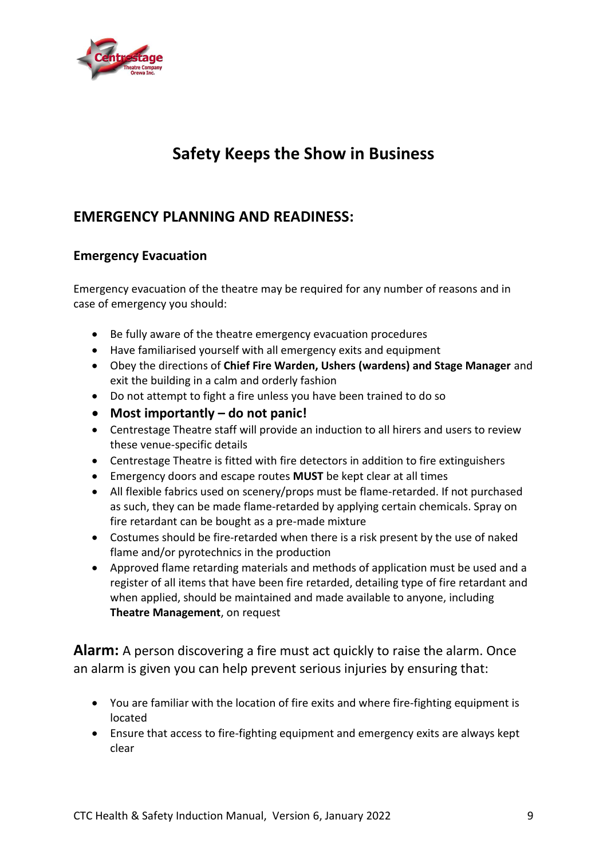

# **Safety Keeps the Show in Business**

# **EMERGENCY PLANNING AND READINESS:**

# **Emergency Evacuation**

Emergency evacuation of the theatre may be required for any number of reasons and in case of emergency you should:

- Be fully aware of the theatre emergency evacuation procedures
- Have familiarised yourself with all emergency exits and equipment
- Obey the directions of **Chief Fire Warden, Ushers (wardens) and Stage Manager** and exit the building in a calm and orderly fashion
- Do not attempt to fight a fire unless you have been trained to do so
- **Most importantly – do not panic!**
- Centrestage Theatre staff will provide an induction to all hirers and users to review these venue-specific details
- Centrestage Theatre is fitted with fire detectors in addition to fire extinguishers
- Emergency doors and escape routes **MUST** be kept clear at all times
- All flexible fabrics used on scenery/props must be flame-retarded. If not purchased as such, they can be made flame-retarded by applying certain chemicals. Spray on fire retardant can be bought as a pre-made mixture
- Costumes should be fire-retarded when there is a risk present by the use of naked flame and/or pyrotechnics in the production
- Approved flame retarding materials and methods of application must be used and a register of all items that have been fire retarded, detailing type of fire retardant and when applied, should be maintained and made available to anyone, including **Theatre Management**, on request

**Alarm:** A person discovering a fire must act quickly to raise the alarm. Once an alarm is given you can help prevent serious injuries by ensuring that:

- You are familiar with the location of fire exits and where fire-fighting equipment is located
- Ensure that access to fire-fighting equipment and emergency exits are always kept clear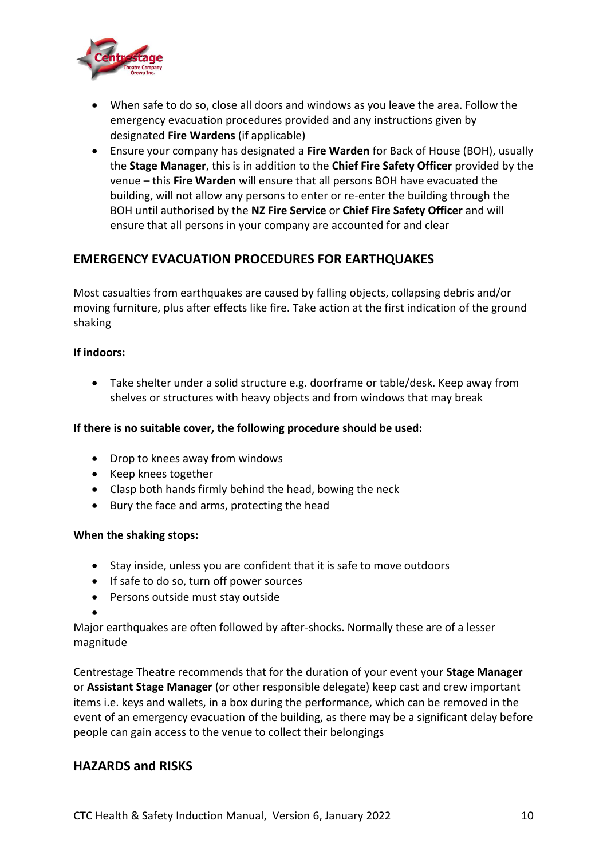

- When safe to do so, close all doors and windows as you leave the area. Follow the emergency evacuation procedures provided and any instructions given by designated **Fire Wardens** (if applicable)
- Ensure your company has designated a **Fire Warden** for Back of House (BOH), usually the **Stage Manager**, this is in addition to the **Chief Fire Safety Officer** provided by the venue – this **Fire Warden** will ensure that all persons BOH have evacuated the building, will not allow any persons to enter or re-enter the building through the BOH until authorised by the **NZ Fire Service** or **Chief Fire Safety Officer** and will ensure that all persons in your company are accounted for and clear

### **EMERGENCY EVACUATION PROCEDURES FOR EARTHQUAKES**

Most casualties from earthquakes are caused by falling objects, collapsing debris and/or moving furniture, plus after effects like fire. Take action at the first indication of the ground shaking

#### **If indoors:**

• Take shelter under a solid structure e.g. doorframe or table/desk. Keep away from shelves or structures with heavy objects and from windows that may break

#### **If there is no suitable cover, the following procedure should be used:**

- Drop to knees away from windows
- Keep knees together
- Clasp both hands firmly behind the head, bowing the neck
- Bury the face and arms, protecting the head

#### **When the shaking stops:**

- Stay inside, unless you are confident that it is safe to move outdoors
- If safe to do so, turn off power sources
- Persons outside must stay outside

•

Major earthquakes are often followed by after-shocks. Normally these are of a lesser magnitude

Centrestage Theatre recommends that for the duration of your event your **Stage Manager** or **Assistant Stage Manager** (or other responsible delegate) keep cast and crew important items i.e. keys and wallets, in a box during the performance, which can be removed in the event of an emergency evacuation of the building, as there may be a significant delay before people can gain access to the venue to collect their belongings

#### **HAZARDS and RISKS**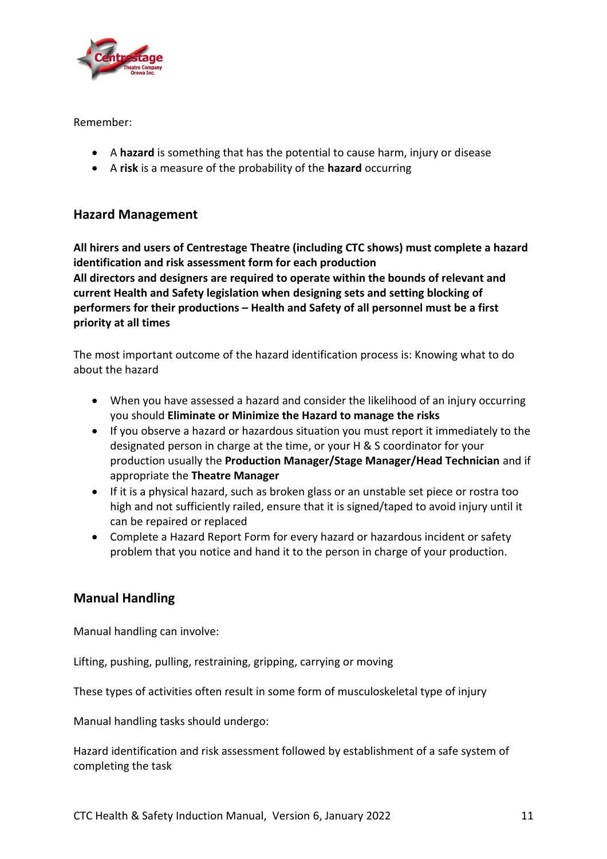

Remember:

- A **hazard** is something that has the potential to cause harm, injury or disease
- A **risk** is a measure of the probability of the **hazard** occurring

#### **Hazard Management**

**All hirers and users of Centrestage Theatre (including CTC shows) must complete a hazard identification and risk assessment form for each production All directors and designers are required to operate within the bounds of relevant and current Health and Safety legislation when designing sets and setting blocking of performers for their productions – Health and Safety of all personnel must be a first priority at all times**

The most important outcome of the hazard identification process is: Knowing what to do about the hazard

- When you have assessed a hazard and consider the likelihood of an injury occurring you should **Eliminate or Minimize the Hazard to manage the risks**
- If you observe a hazard or hazardous situation you must report it immediately to the designated person in charge at the time, or your H & S coordinator for your production usually the **Production Manager/Stage Manager/Head Technician** and if appropriate the **Theatre Manager**
- If it is a physical hazard, such as broken glass or an unstable set piece or rostra too high and not sufficiently railed, ensure that it is signed/taped to avoid injury until it can be repaired or replaced
- Complete a Hazard Report Form for every hazard or hazardous incident or safety problem that you notice and hand it to the person in charge of your production.

# **Manual Handling**

Manual handling can involve:

Lifting, pushing, pulling, restraining, gripping, carrying or moving

These types of activities often result in some form of musculoskeletal type of injury

Manual handling tasks should undergo:

Hazard identification and risk assessment followed by establishment of a safe system of completing the task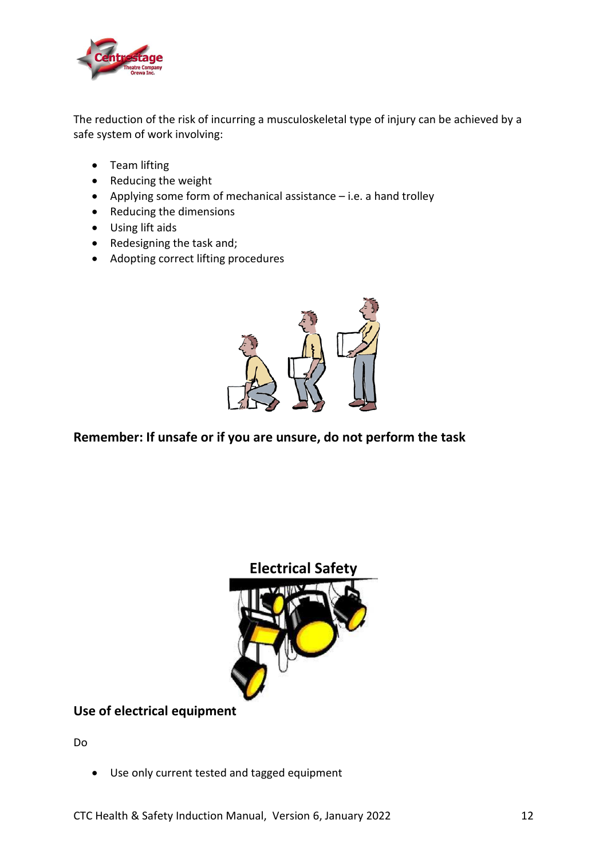

The reduction of the risk of incurring a musculoskeletal type of injury can be achieved by a safe system of work involving:

- Team lifting
- Reducing the weight
- Applying some form of mechanical assistance i.e. a hand trolley
- Reducing the dimensions
- Using lift aids
- Redesigning the task and;
- Adopting correct lifting procedures



# **Remember: If unsafe or if you are unsure, do not perform the task**



**Use of electrical equipment**

Do

• Use only current tested and tagged equipment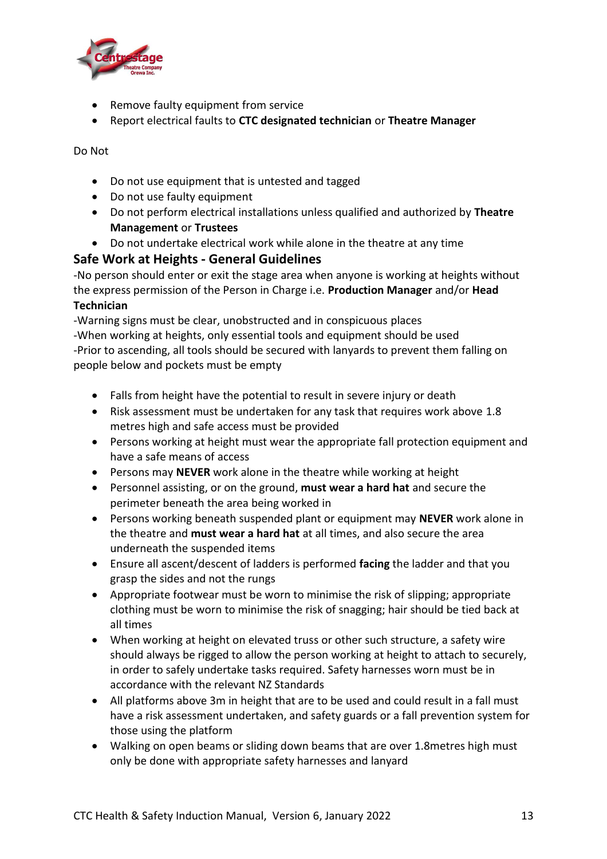

- Remove faulty equipment from service
- Report electrical faults to **CTC designated technician** or **Theatre Manager**

Do Not

- Do not use equipment that is untested and tagged
- Do not use faulty equipment
- Do not perform electrical installations unless qualified and authorized by **Theatre Management** or **Trustees**
- Do not undertake electrical work while alone in the theatre at any time

#### **Safe Work at Heights - General Guidelines**

-No person should enter or exit the stage area when anyone is working at heights without the express permission of the Person in Charge i.e. **Production Manager** and/or **Head Technician**

-Warning signs must be clear, unobstructed and in conspicuous places -When working at heights, only essential tools and equipment should be used -Prior to ascending, all tools should be secured with lanyards to prevent them falling on people below and pockets must be empty

- Falls from height have the potential to result in severe injury or death
- Risk assessment must be undertaken for any task that requires work above 1.8 metres high and safe access must be provided
- Persons working at height must wear the appropriate fall protection equipment and have a safe means of access
- Persons may **NEVER** work alone in the theatre while working at height
- Personnel assisting, or on the ground, **must wear a hard hat** and secure the perimeter beneath the area being worked in
- Persons working beneath suspended plant or equipment may **NEVER** work alone in the theatre and **must wear a hard hat** at all times, and also secure the area underneath the suspended items
- Ensure all ascent/descent of ladders is performed **facing** the ladder and that you grasp the sides and not the rungs
- Appropriate footwear must be worn to minimise the risk of slipping; appropriate clothing must be worn to minimise the risk of snagging; hair should be tied back at all times
- When working at height on elevated truss or other such structure, a safety wire should always be rigged to allow the person working at height to attach to securely, in order to safely undertake tasks required. Safety harnesses worn must be in accordance with the relevant NZ Standards
- All platforms above 3m in height that are to be used and could result in a fall must have a risk assessment undertaken, and safety guards or a fall prevention system for those using the platform
- Walking on open beams or sliding down beams that are over 1.8metres high must only be done with appropriate safety harnesses and lanyard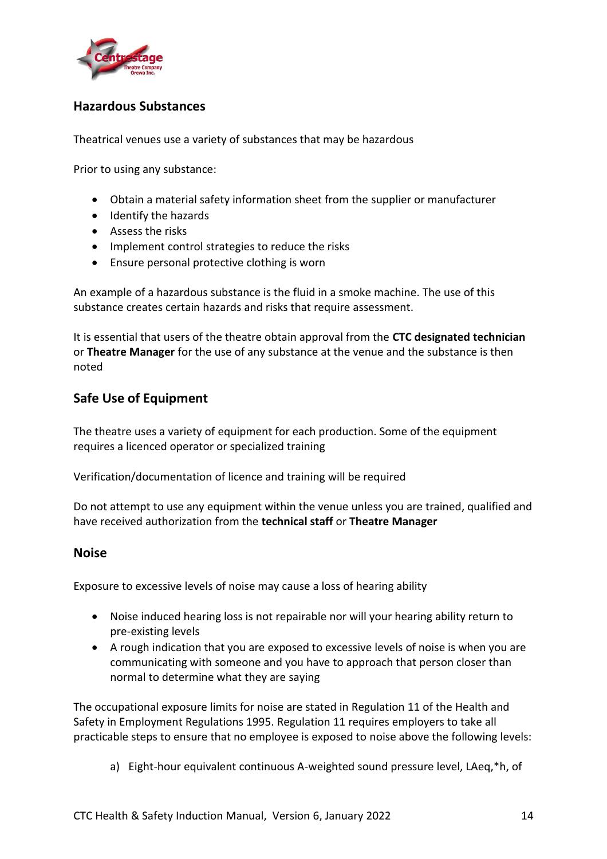

### **Hazardous Substances**

Theatrical venues use a variety of substances that may be hazardous

Prior to using any substance:

- Obtain a material safety information sheet from the supplier or manufacturer
- Identify the hazards
- Assess the risks
- Implement control strategies to reduce the risks
- Ensure personal protective clothing is worn

An example of a hazardous substance is the fluid in a smoke machine. The use of this substance creates certain hazards and risks that require assessment.

It is essential that users of the theatre obtain approval from the **CTC designated technician**  or **Theatre Manager** for the use of any substance at the venue and the substance is then noted

#### **Safe Use of Equipment**

The theatre uses a variety of equipment for each production. Some of the equipment requires a licenced operator or specialized training

Verification/documentation of licence and training will be required

Do not attempt to use any equipment within the venue unless you are trained, qualified and have received authorization from the **technical staff** or **Theatre Manager**

#### **Noise**

Exposure to excessive levels of noise may cause a loss of hearing ability

- Noise induced hearing loss is not repairable nor will your hearing ability return to pre-existing levels
- A rough indication that you are exposed to excessive levels of noise is when you are communicating with someone and you have to approach that person closer than normal to determine what they are saying

The occupational exposure limits for noise are stated in Regulation 11 of the Health and Safety in Employment Regulations 1995. Regulation 11 requires employers to take all practicable steps to ensure that no employee is exposed to noise above the following levels:

a) Eight-hour equivalent continuous A-weighted sound pressure level, LAeq,\*h, of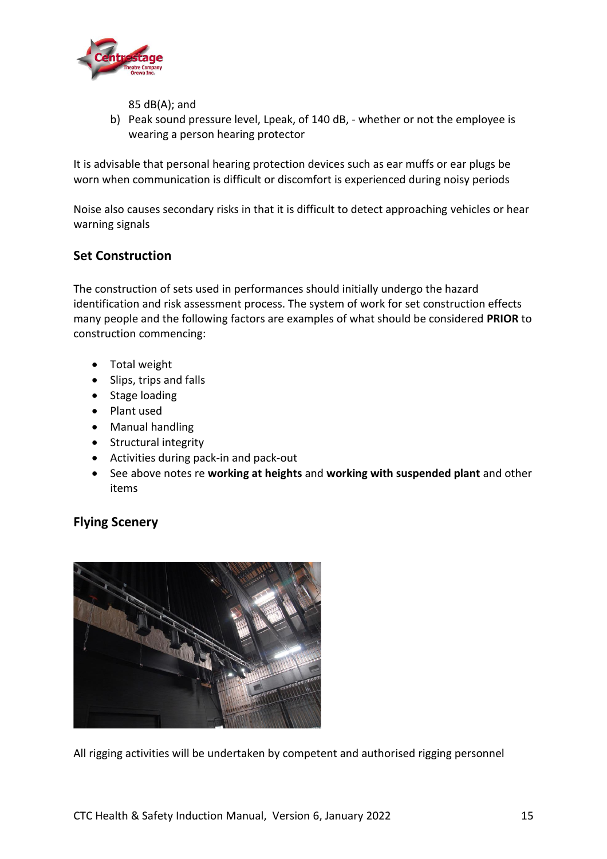

85 dB(A); and

b) Peak sound pressure level, Lpeak, of 140 dB, - whether or not the employee is wearing a person hearing protector

It is advisable that personal hearing protection devices such as ear muffs or ear plugs be worn when communication is difficult or discomfort is experienced during noisy periods

Noise also causes secondary risks in that it is difficult to detect approaching vehicles or hear warning signals

### **Set Construction**

The construction of sets used in performances should initially undergo the hazard identification and risk assessment process. The system of work for set construction effects many people and the following factors are examples of what should be considered **PRIOR** to construction commencing:

- Total weight
- Slips, trips and falls
- Stage loading
- Plant used
- Manual handling
- Structural integrity
- Activities during pack-in and pack-out
- See above notes re **working at heights** and **working with suspended plant** and other items

# **Flying Scenery**



All rigging activities will be undertaken by competent and authorised rigging personnel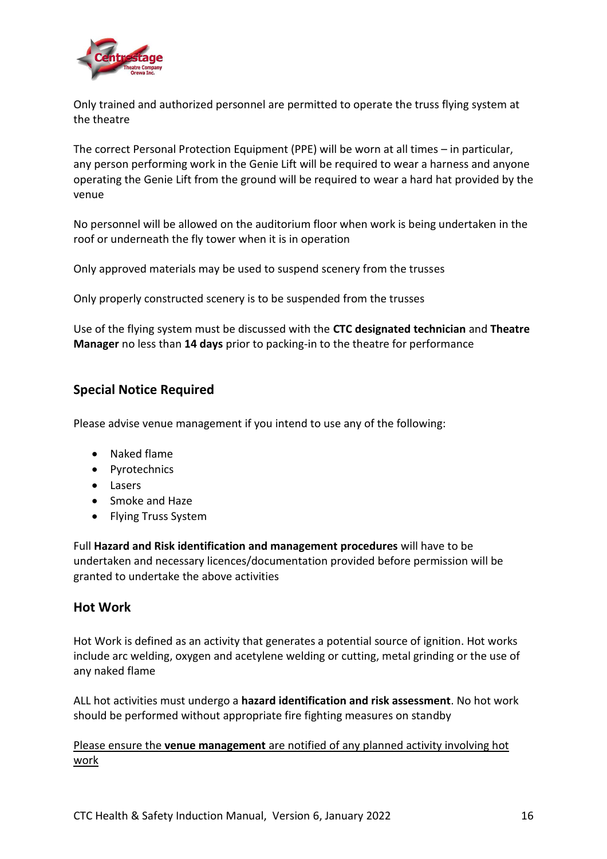

Only trained and authorized personnel are permitted to operate the truss flying system at the theatre

The correct Personal Protection Equipment (PPE) will be worn at all times – in particular, any person performing work in the Genie Lift will be required to wear a harness and anyone operating the Genie Lift from the ground will be required to wear a hard hat provided by the venue

No personnel will be allowed on the auditorium floor when work is being undertaken in the roof or underneath the fly tower when it is in operation

Only approved materials may be used to suspend scenery from the trusses

Only properly constructed scenery is to be suspended from the trusses

Use of the flying system must be discussed with the **CTC designated technician** and **Theatre Manager** no less than **14 days** prior to packing-in to the theatre for performance

#### **Special Notice Required**

Please advise venue management if you intend to use any of the following:

- Naked flame
- Pyrotechnics
- Lasers
- Smoke and Haze
- Flying Truss System

Full **Hazard and Risk identification and management procedures** will have to be undertaken and necessary licences/documentation provided before permission will be granted to undertake the above activities

#### **Hot Work**

Hot Work is defined as an activity that generates a potential source of ignition. Hot works include arc welding, oxygen and acetylene welding or cutting, metal grinding or the use of any naked flame

ALL hot activities must undergo a **hazard identification and risk assessment**. No hot work should be performed without appropriate fire fighting measures on standby

Please ensure the **venue management** are notified of any planned activity involving hot work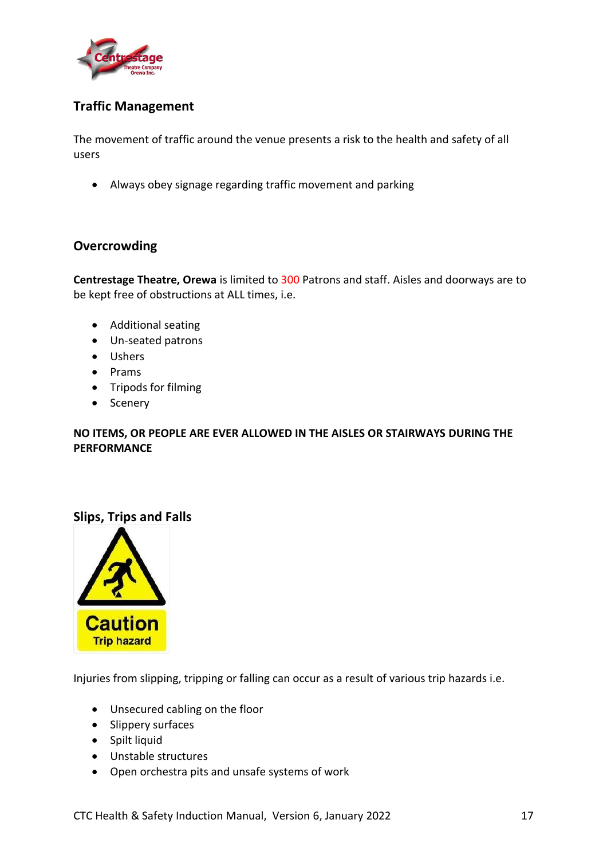

### **Traffic Management**

The movement of traffic around the venue presents a risk to the health and safety of all users

• Always obey signage regarding traffic movement and parking

#### **Overcrowding**

**Centrestage Theatre, Orewa** is limited to 300 Patrons and staff. Aisles and doorways are to be kept free of obstructions at ALL times, i.e.

- Additional seating
- Un-seated patrons
- Ushers
- Prams
- Tripods for filming
- Scenery

#### **NO ITEMS, OR PEOPLE ARE EVER ALLOWED IN THE AISLES OR STAIRWAYS DURING THE PERFORMANCE**

#### **Slips, Trips and Falls**



Injuries from slipping, tripping or falling can occur as a result of various trip hazards i.e.

- Unsecured cabling on the floor
- Slippery surfaces
- Spilt liquid
- Unstable structures
- Open orchestra pits and unsafe systems of work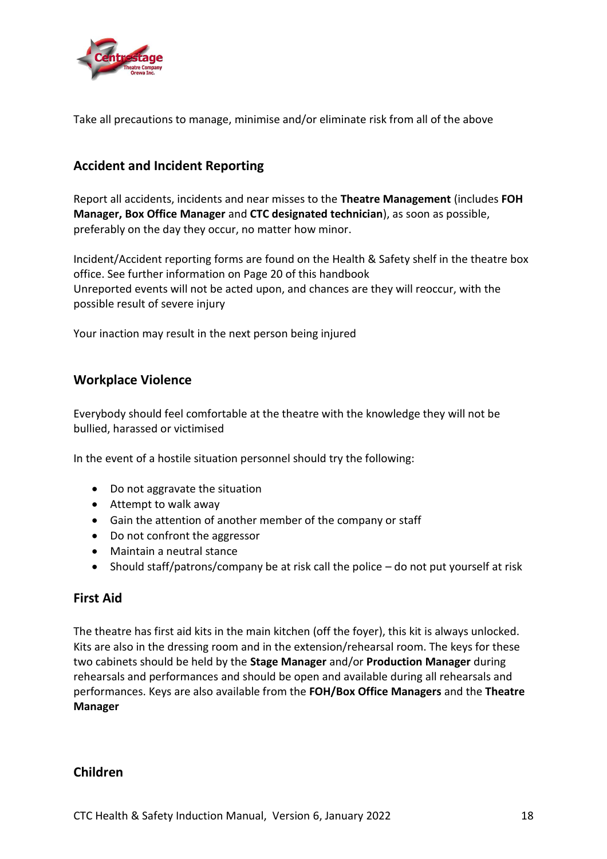

Take all precautions to manage, minimise and/or eliminate risk from all of the above

### **Accident and Incident Reporting**

Report all accidents, incidents and near misses to the **Theatre Management** (includes **FOH Manager, Box Office Manager** and **CTC designated technician**), as soon as possible, preferably on the day they occur, no matter how minor.

Incident/Accident reporting forms are found on the Health & Safety shelf in the theatre box office. See further information on Page 20 of this handbook Unreported events will not be acted upon, and chances are they will reoccur, with the possible result of severe injury

Your inaction may result in the next person being injured

#### **Workplace Violence**

Everybody should feel comfortable at the theatre with the knowledge they will not be bullied, harassed or victimised

In the event of a hostile situation personnel should try the following:

- Do not aggravate the situation
- Attempt to walk away
- Gain the attention of another member of the company or staff
- Do not confront the aggressor
- Maintain a neutral stance
- Should staff/patrons/company be at risk call the police do not put yourself at risk

#### **First Aid**

The theatre has first aid kits in the main kitchen (off the foyer), this kit is always unlocked. Kits are also in the dressing room and in the extension/rehearsal room. The keys for these two cabinets should be held by the **Stage Manager** and/or **Production Manager** during rehearsals and performances and should be open and available during all rehearsals and performances. Keys are also available from the **FOH/Box Office Managers** and the **Theatre Manager**

#### **Children**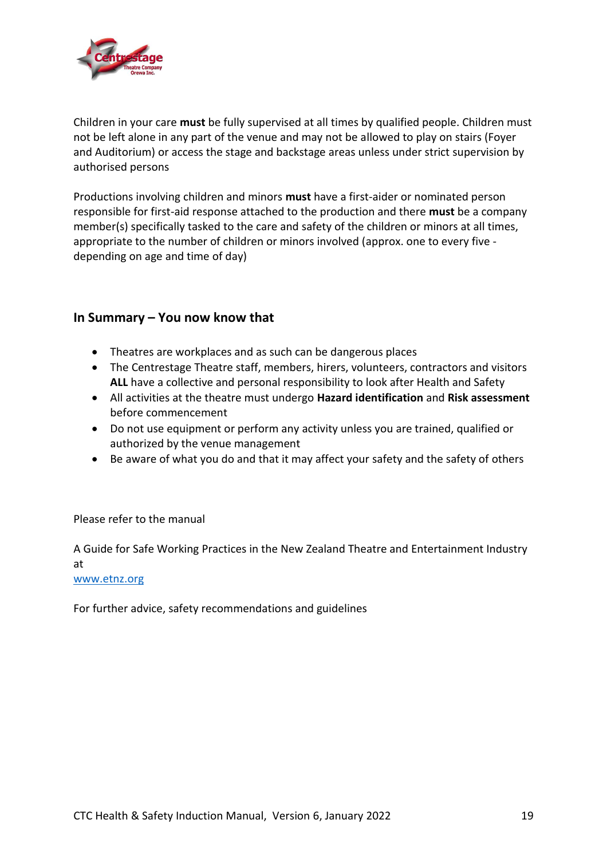

Children in your care **must** be fully supervised at all times by qualified people. Children must not be left alone in any part of the venue and may not be allowed to play on stairs (Foyer and Auditorium) or access the stage and backstage areas unless under strict supervision by authorised persons

Productions involving children and minors **must** have a first-aider or nominated person responsible for first-aid response attached to the production and there **must** be a company member(s) specifically tasked to the care and safety of the children or minors at all times, appropriate to the number of children or minors involved (approx. one to every five depending on age and time of day)

#### **In Summary – You now know that**

- Theatres are workplaces and as such can be dangerous places
- The Centrestage Theatre staff, members, hirers, volunteers, contractors and visitors **ALL** have a collective and personal responsibility to look after Health and Safety
- All activities at the theatre must undergo **Hazard identification** and **Risk assessment** before commencement
- Do not use equipment or perform any activity unless you are trained, qualified or authorized by the venue management
- Be aware of what you do and that it may affect your safety and the safety of others

#### Please refer to the manual

A Guide for Safe Working Practices in the New Zealand Theatre and Entertainment Industry at

#### [www.etnz.org](http://www.etnz.org/)

For further advice, safety recommendations and guidelines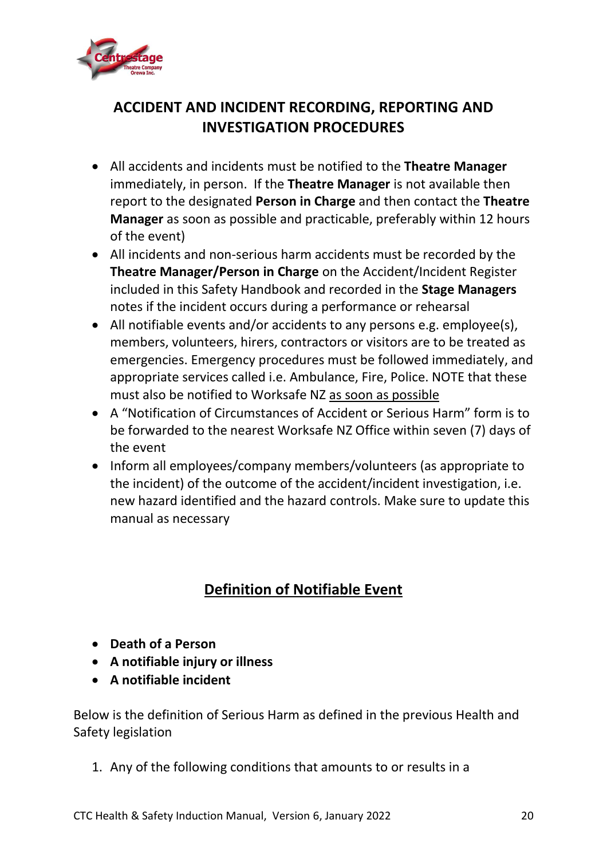

# **ACCIDENT AND INCIDENT RECORDING, REPORTING AND INVESTIGATION PROCEDURES**

- All accidents and incidents must be notified to the **Theatre Manager** immediately, in person. If the **Theatre Manager** is not available then report to the designated **Person in Charge** and then contact the **Theatre Manager** as soon as possible and practicable, preferably within 12 hours of the event)
- All incidents and non-serious harm accidents must be recorded by the **Theatre Manager/Person in Charge** on the Accident/Incident Register included in this Safety Handbook and recorded in the **Stage Managers** notes if the incident occurs during a performance or rehearsal
- All notifiable events and/or accidents to any persons e.g. employee(s), members, volunteers, hirers, contractors or visitors are to be treated as emergencies. Emergency procedures must be followed immediately, and appropriate services called i.e. Ambulance, Fire, Police. NOTE that these must also be notified to Worksafe NZ as soon as possible
- A "Notification of Circumstances of Accident or Serious Harm" form is to be forwarded to the nearest Worksafe NZ Office within seven (7) days of the event
- Inform all employees/company members/volunteers (as appropriate to the incident) of the outcome of the accident/incident investigation, i.e. new hazard identified and the hazard controls. Make sure to update this manual as necessary

# **Definition of Notifiable Event**

- **Death of a Person**
- **A notifiable injury or illness**
- **A notifiable incident**

Below is the definition of Serious Harm as defined in the previous Health and Safety legislation

1. Any of the following conditions that amounts to or results in a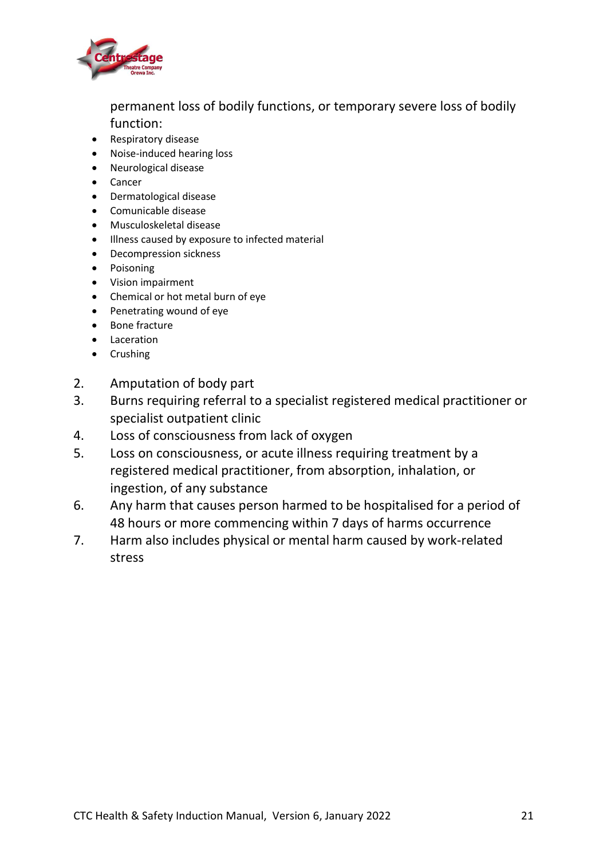

permanent loss of bodily functions, or temporary severe loss of bodily function:

- Respiratory disease
- Noise-induced hearing loss
- Neurological disease
- Cancer
- Dermatological disease
- Comunicable disease
- Musculoskeletal disease
- Illness caused by exposure to infected material
- Decompression sickness
- Poisoning
- Vision impairment
- Chemical or hot metal burn of eye
- Penetrating wound of eye
- Bone fracture
- Laceration
- Crushing
- 2. Amputation of body part
- 3. Burns requiring referral to a specialist registered medical practitioner or specialist outpatient clinic
- 4. Loss of consciousness from lack of oxygen
- 5. Loss on consciousness, or acute illness requiring treatment by a registered medical practitioner, from absorption, inhalation, or ingestion, of any substance
- 6. Any harm that causes person harmed to be hospitalised for a period of 48 hours or more commencing within 7 days of harms occurrence
- 7. Harm also includes physical or mental harm caused by work-related stress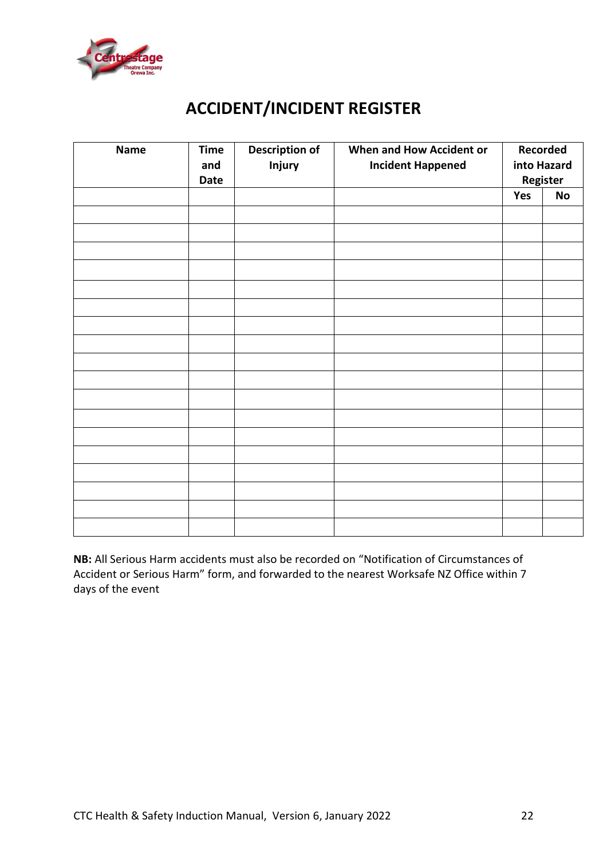

# **ACCIDENT/INCIDENT REGISTER**

| <b>Name</b> | <b>Time</b><br>and<br><b>Date</b> | <b>Description of</b><br>Injury | When and How Accident or<br><b>Incident Happened</b> | Recorded<br>into Hazard<br>Register |           |
|-------------|-----------------------------------|---------------------------------|------------------------------------------------------|-------------------------------------|-----------|
|             |                                   |                                 |                                                      | Yes                                 | <b>No</b> |
|             |                                   |                                 |                                                      |                                     |           |
|             |                                   |                                 |                                                      |                                     |           |
|             |                                   |                                 |                                                      |                                     |           |
|             |                                   |                                 |                                                      |                                     |           |
|             |                                   |                                 |                                                      |                                     |           |
|             |                                   |                                 |                                                      |                                     |           |
|             |                                   |                                 |                                                      |                                     |           |
|             |                                   |                                 |                                                      |                                     |           |
|             |                                   |                                 |                                                      |                                     |           |
|             |                                   |                                 |                                                      |                                     |           |
|             |                                   |                                 |                                                      |                                     |           |
|             |                                   |                                 |                                                      |                                     |           |
|             |                                   |                                 |                                                      |                                     |           |
|             |                                   |                                 |                                                      |                                     |           |
|             |                                   |                                 |                                                      |                                     |           |
|             |                                   |                                 |                                                      |                                     |           |
|             |                                   |                                 |                                                      |                                     |           |
|             |                                   |                                 |                                                      |                                     |           |

**NB:** All Serious Harm accidents must also be recorded on "Notification of Circumstances of Accident or Serious Harm" form, and forwarded to the nearest Worksafe NZ Office within 7 days of the event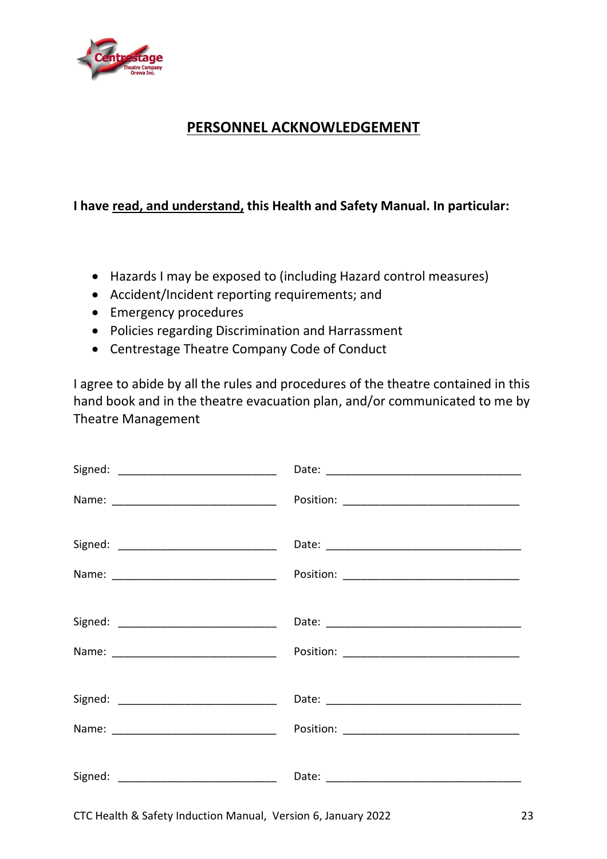

# **PERSONNEL ACKNOWLEDGEMENT**

# **I have read, and understand, this Health and Safety Manual. In particular:**

- Hazards I may be exposed to (including Hazard control measures)
- Accident/Incident reporting requirements; and
- Emergency procedures
- Policies regarding Discrimination and Harrassment
- Centrestage Theatre Company Code of Conduct

I agree to abide by all the rules and procedures of the theatre contained in this hand book and in the theatre evacuation plan, and/or communicated to me by Theatre Management

| Name: _______________________________ |  |
|---------------------------------------|--|
|                                       |  |

CTC Health & Safety Induction Manual, Version 6, January 2022 23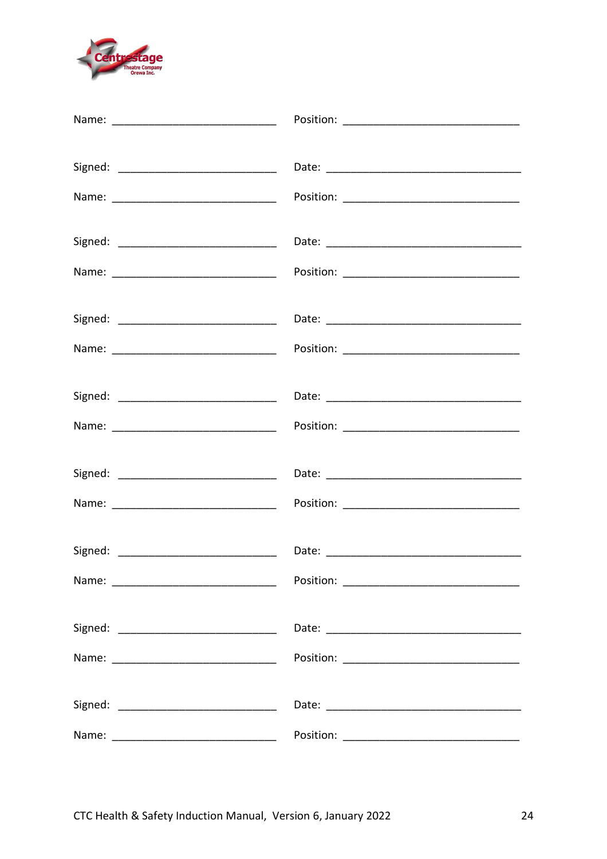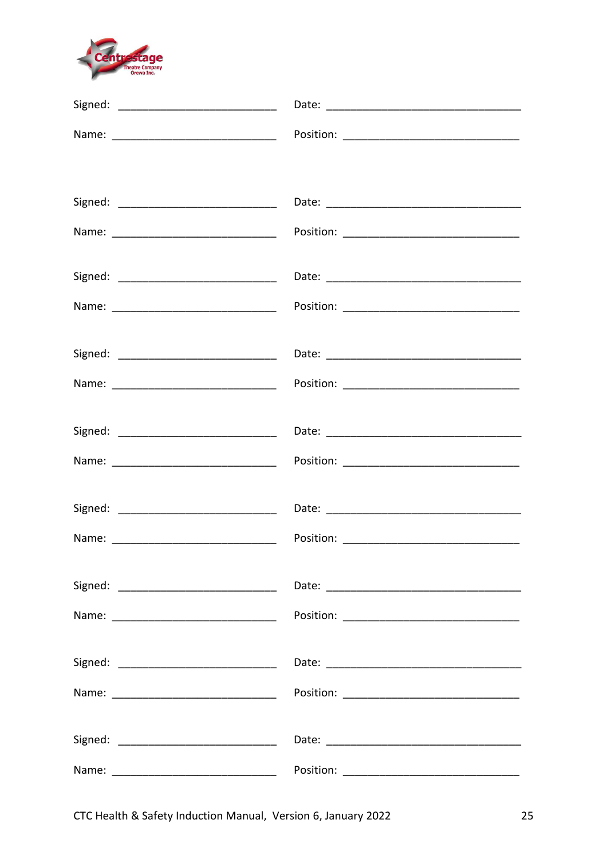

|         | Position: _________________________________ |
|---------|---------------------------------------------|
|         |                                             |
|         |                                             |
|         |                                             |
|         |                                             |
|         |                                             |
|         |                                             |
|         |                                             |
|         |                                             |
|         |                                             |
|         |                                             |
|         |                                             |
|         |                                             |
| Signed: |                                             |
|         |                                             |
|         |                                             |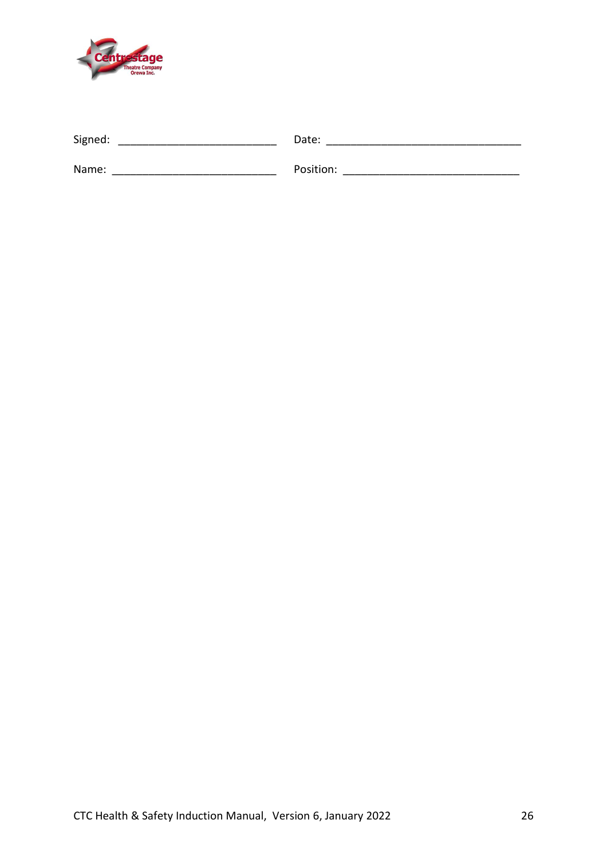

| Signed: | Date:     |
|---------|-----------|
|         |           |
| Name:   | Position: |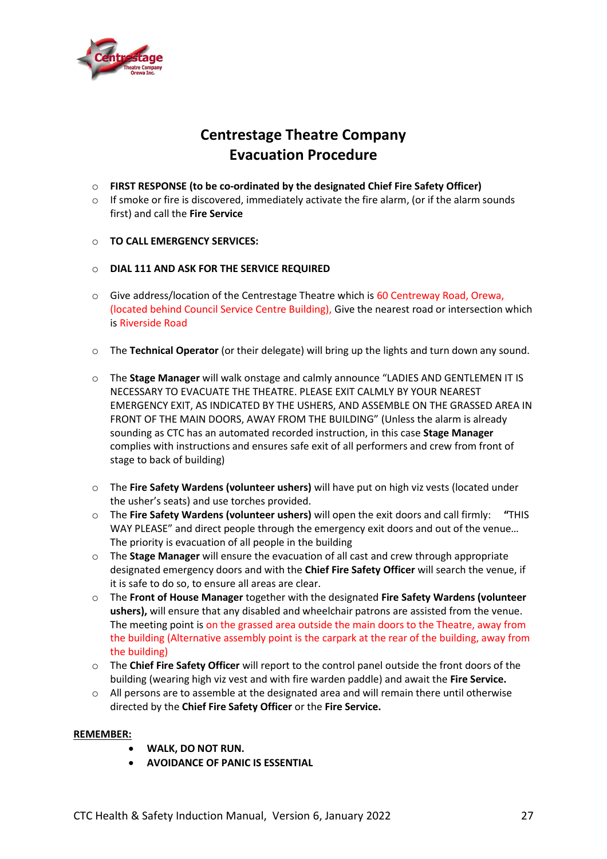

# **Centrestage Theatre Company Evacuation Procedure**

- o **FIRST RESPONSE (to be co-ordinated by the designated Chief Fire Safety Officer)**
- $\circ$  If smoke or fire is discovered, immediately activate the fire alarm, (or if the alarm sounds first) and call the **Fire Service**
- o **TO CALL EMERGENCY SERVICES:**
- o **DIAL 111 AND ASK FOR THE SERVICE REQUIRED**
- $\circ$  Give address/location of the Centrestage Theatre which is 60 Centreway Road, Orewa, (located behind Council Service Centre Building), Give the nearest road or intersection which is Riverside Road
- o The **Technical Operator** (or their delegate) will bring up the lights and turn down any sound.
- o The **Stage Manager** will walk onstage and calmly announce "LADIES AND GENTLEMEN IT IS NECESSARY TO EVACUATE THE THEATRE. PLEASE EXIT CALMLY BY YOUR NEAREST EMERGENCY EXIT, AS INDICATED BY THE USHERS, AND ASSEMBLE ON THE GRASSED AREA IN FRONT OF THE MAIN DOORS, AWAY FROM THE BUILDING" (Unless the alarm is already sounding as CTC has an automated recorded instruction, in this case **Stage Manager** complies with instructions and ensures safe exit of all performers and crew from front of stage to back of building)
- o The **Fire Safety Wardens (volunteer ushers)** will have put on high viz vests (located under the usher's seats) and use torches provided.
- o The **Fire Safety Wardens (volunteer ushers)** will open the exit doors and call firmly: **"**THIS WAY PLEASE" and direct people through the emergency exit doors and out of the venue… The priority is evacuation of all people in the building
- o The **Stage Manager** will ensure the evacuation of all cast and crew through appropriate designated emergency doors and with the **Chief Fire Safety Officer** will search the venue, if it is safe to do so, to ensure all areas are clear.
- o The **Front of House Manager** together with the designated **Fire Safety Wardens (volunteer ushers),** will ensure that any disabled and wheelchair patrons are assisted from the venue. The meeting point is on the grassed area outside the main doors to the Theatre, away from the building (Alternative assembly point is the carpark at the rear of the building, away from the building)
- o The **Chief Fire Safety Officer** will report to the control panel outside the front doors of the building (wearing high viz vest and with fire warden paddle) and await the **Fire Service.**
- o All persons are to assemble at the designated area and will remain there until otherwise directed by the **Chief Fire Safety Officer** or the **Fire Service.**

#### **REMEMBER:**

- **WALK, DO NOT RUN.**
- **AVOIDANCE OF PANIC IS ESSENTIAL**